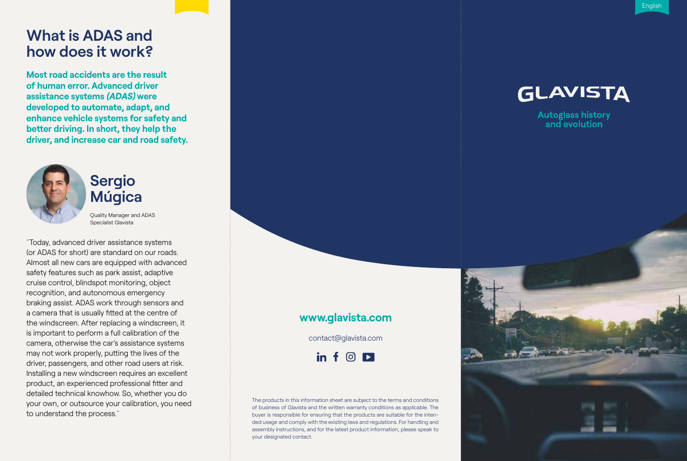## **What is ADAS and how does it work?**

**Most road accidents are the result of human error. Advanced driver assistance systems (ADAS) were developed to automate, adapt, and enhance vehicle systems for safety and better driving. In short, they help the driver, and increase car and road safety.**



**Sergio Múgica**

Quality Manager and ADAS Specialist Glavista

"Today, advanced driver assistance systems (or ADAS for short) are standard on our roads. Almost all new cars are equipped with advanced safety features such as park assist, adaptive cruise control, blindspot monitoring, object recognition, and autonomous emergency braking assist. ADAS work through sensors and a camera that is usually fitted at the centre of the windscreen. After replacing a windscreen, it is important to perform a full calibration of the camera, otherwise the car's assistance systems may not work properly, putting the lives of the driver, passengers, and other road users at risk. Installing a new windscreen requires an excellent product, an experienced professional fitter and detailed technical knowhow. So, whether you do your own, or outsource your calibration, you need to understand the process. "



Autoglass history<br>and evolution

### **www.glavista.com**

contact@glavista.com

 $\mathbf{in} \in \mathbb{G}$ 

The products in this information sheet are subject to the terms and conditions of business of Glavista and the written warranty conditions as applicable. The buyer is responsible for ensuring that the products are suitable for the inten ded usage and comply with the existing laws and regulations. For handling and assembly instructions, and for the latest product information, please speak to your designated contact.